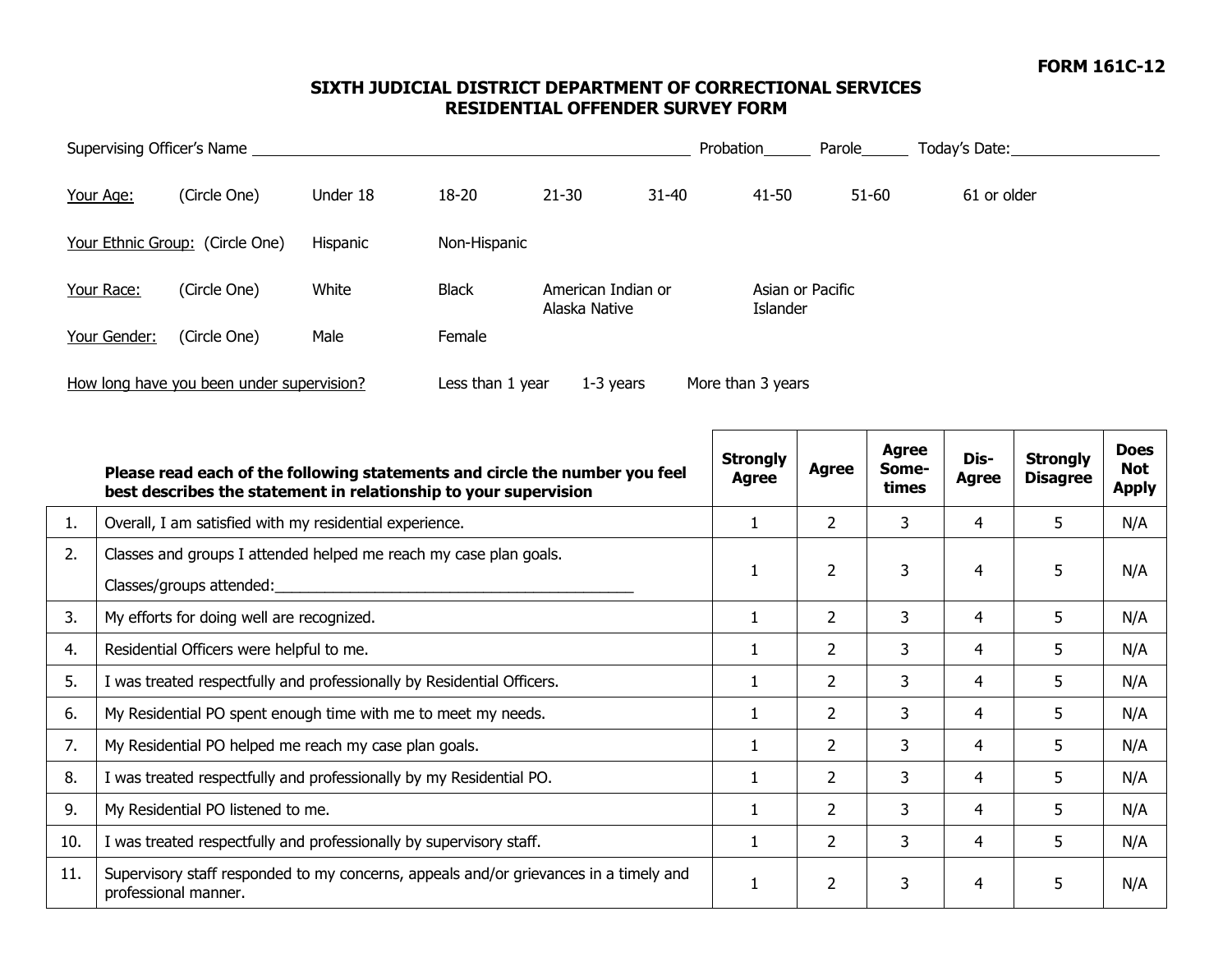## **SIXTH JUDICIAL DISTRICT DEPARTMENT OF CORRECTIONAL SERVICES RESIDENTIAL OFFENDER SURVEY FORM**

| Supervising Officer's Name                |                                 |          |                  |                                     | Probation | Parole                       | Today's Date: |             |
|-------------------------------------------|---------------------------------|----------|------------------|-------------------------------------|-----------|------------------------------|---------------|-------------|
| Your Age:                                 | (Circle One)                    | Under 18 | 18-20            | $21 - 30$                           | $31 - 40$ | $41 - 50$                    | $51 - 60$     | 61 or older |
|                                           | Your Ethnic Group: (Circle One) | Hispanic | Non-Hispanic     |                                     |           |                              |               |             |
| Your Race:                                | (Circle One)                    | White    | <b>Black</b>     | American Indian or<br>Alaska Native |           | Asian or Pacific<br>Islander |               |             |
| Your Gender:                              | (Circle One)                    | Male     | Female           |                                     |           |                              |               |             |
| How long have you been under supervision? |                                 |          | Less than 1 year | $1-3$ years                         |           | More than 3 years            |               |             |

|     | Please read each of the following statements and circle the number you feel<br>best describes the statement in relationship to your supervision | <b>Strongly</b><br>Agree | <b>Agree</b>   | <b>Agree</b><br>Some-<br>times | Dis-<br>Agree | <b>Strongly</b><br><b>Disagree</b> | <b>Does</b><br><b>Not</b><br><b>Apply</b> |
|-----|-------------------------------------------------------------------------------------------------------------------------------------------------|--------------------------|----------------|--------------------------------|---------------|------------------------------------|-------------------------------------------|
| 1.  | Overall, I am satisfied with my residential experience.                                                                                         |                          | $\overline{2}$ | 3                              | 4             | 5                                  | N/A                                       |
| 2.  | Classes and groups I attended helped me reach my case plan goals.<br>Classes/groups attended:                                                   |                          | $\overline{2}$ | 3                              | 4             | 5                                  | N/A                                       |
| 3.  | My efforts for doing well are recognized.                                                                                                       |                          | 2              | 3                              | 4             | 5                                  | N/A                                       |
| 4.  | Residential Officers were helpful to me.                                                                                                        |                          | 2              | 3                              | 4             | 5                                  | N/A                                       |
| 5.  | I was treated respectfully and professionally by Residential Officers.                                                                          |                          | 2              | 3                              | 4             | 5                                  | N/A                                       |
| 6.  | My Residential PO spent enough time with me to meet my needs.                                                                                   |                          | $\overline{2}$ | 3                              | 4             | 5                                  | N/A                                       |
| 7.  | My Residential PO helped me reach my case plan goals.                                                                                           |                          | $\overline{2}$ | 3                              | 4             | 5                                  | N/A                                       |
| 8.  | I was treated respectfully and professionally by my Residential PO.                                                                             |                          | $\overline{2}$ | 3                              | 4             | 5                                  | N/A                                       |
| 9.  | My Residential PO listened to me.                                                                                                               |                          | 2              | 3                              | 4             | 5                                  | N/A                                       |
| 10. | I was treated respectfully and professionally by supervisory staff.                                                                             |                          | 2              | 3                              | 4             | 5                                  | N/A                                       |
| 11. | Supervisory staff responded to my concerns, appeals and/or grievances in a timely and<br>professional manner.                                   |                          | $\overline{2}$ | 3                              | 4             | 5                                  | N/A                                       |